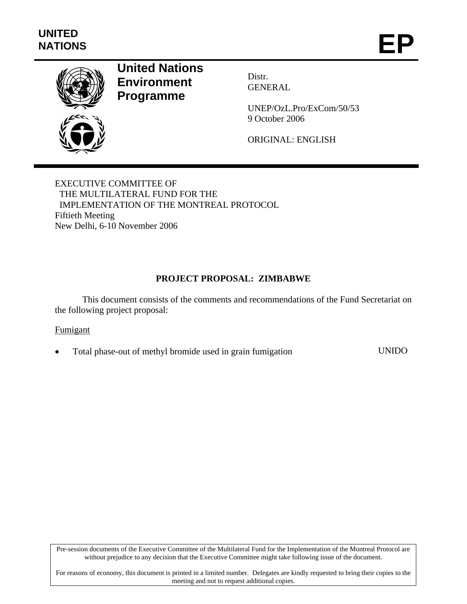

# **United Nations Environment Programme**

Distr. GENERAL

UNEP/OzL.Pro/ExCom/50/53 9 October 2006

ORIGINAL: ENGLISH

EXECUTIVE COMMITTEE OF THE MULTILATERAL FUND FOR THE IMPLEMENTATION OF THE MONTREAL PROTOCOL Fiftieth Meeting New Delhi, 6-10 November 2006

# **PROJECT PROPOSAL: ZIMBABWE**

This document consists of the comments and recommendations of the Fund Secretariat on the following project proposal:

### Fumigant

• Total phase-out of methyl bromide used in grain fumigation UNIDO

Pre-session documents of the Executive Committee of the Multilateral Fund for the Implementation of the Montreal Protocol are without prejudice to any decision that the Executive Committee might take following issue of the document.

For reasons of economy, this document is printed in a limited number. Delegates are kindly requested to bring their copies to the meeting and not to request additional copies.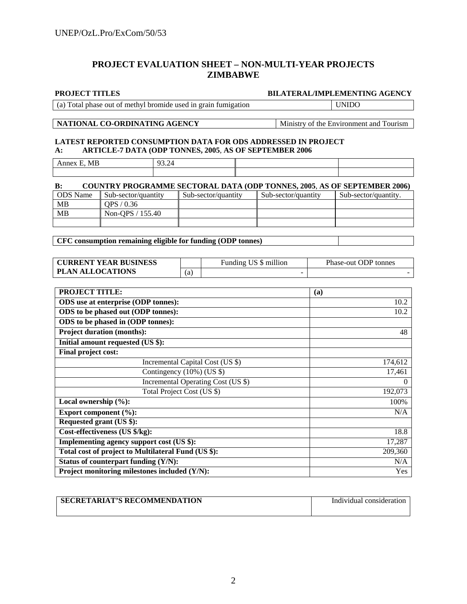# **PROJECT EVALUATION SHEET – NON-MULTI-YEAR PROJECTS ZIMBABWE**

#### **PROJECT TITLES BILATERAL/IMPLEMENTING AGENCY**

(a) Total phase out of methyl bromide used in grain fumigation UNIDO

#### **NATIONAL CO-ORDINATING AGENCY** Ministry of the Environment and Tourism

#### **LATEST REPORTED CONSUMPTION DATA FOR ODS ADDRESSED IN PROJECT A: ARTICLE-7 DATA (ODP TONNES, 2005**, **AS OF SEPTEMBER 2006**

Annex E, MB 93.24

| <b>COUNTRY PROGRAMME SECTORAL DATA (ODP TONNES, 2005, AS OF SEPTEMBER 2006)</b><br>$\bf B$ : |                     |                     |                     |                      |
|----------------------------------------------------------------------------------------------|---------------------|---------------------|---------------------|----------------------|
| <b>ODS</b> Name                                                                              | Sub-sector/quantity | Sub-sector/quantity | Sub-sector/quantity | Sub-sector/quantity. |
| MB                                                                                           | OPS / 0.36          |                     |                     |                      |
| MB                                                                                           | Non-OPS $/$ 155.40  |                     |                     |                      |
|                                                                                              |                     |                     |                     |                      |

**CFC consumption remaining eligible for funding (ODP tonnes)** 

| <b>CURRENT YEAR BUSINESS</b> |    | US \$ million<br>Funding | Phase-out ODP tonnes |
|------------------------------|----|--------------------------|----------------------|
| <b>PLAN ALLOCATIONS</b>      | .a | $\overline{\phantom{a}}$ |                      |

| <b>PROJECT TITLE:</b>                               | (a)      |
|-----------------------------------------------------|----------|
| <b>ODS</b> use at enterprise (ODP tonnes):          | 10.2     |
| ODS to be phased out (ODP tonnes):                  | 10.2     |
| ODS to be phased in (ODP tonnes):                   |          |
| <b>Project duration (months):</b>                   | 48       |
| Initial amount requested (US \$):                   |          |
| Final project cost:                                 |          |
| Incremental Capital Cost (US \$)                    | 174,612  |
| Contingency $(10\%)$ (US \$)                        | 17,461   |
| Incremental Operating Cost (US \$)                  | $\Omega$ |
| Total Project Cost (US \$)                          | 192,073  |
| Local ownership $(\%):$                             | 100%     |
| Export component (%):                               | N/A      |
| Requested grant (US \$):                            |          |
| Cost-effectiveness (US \$/kg):                      | 18.8     |
| Implementing agency support cost (US \$):           | 17,287   |
| Total cost of project to Multilateral Fund (US \$): | 209,360  |
| Status of counterpart funding (Y/N):                | N/A      |
| Project monitoring milestones included (Y/N):       | Yes      |

| <b>SECRETARIAT'S RECOMMENDATION</b> | Individual consideration |
|-------------------------------------|--------------------------|
|                                     |                          |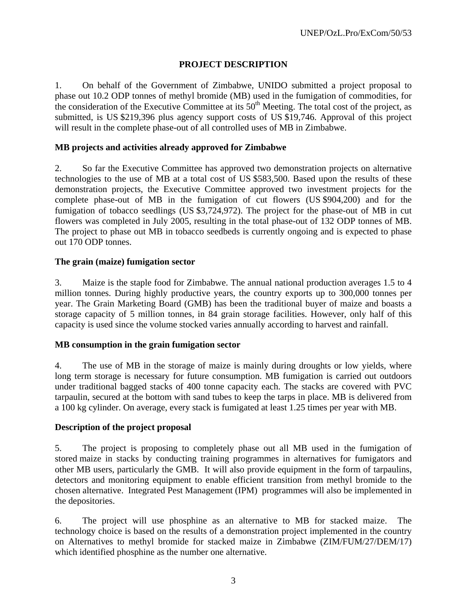# **PROJECT DESCRIPTION**

1. On behalf of the Government of Zimbabwe, UNIDO submitted a project proposal to phase out 10.2 ODP tonnes of methyl bromide (MB) used in the fumigation of commodities, for the consideration of the Executive Committee at its 50<sup>th</sup> Meeting. The total cost of the project, as submitted, is US \$219,396 plus agency support costs of US \$19,746. Approval of this project will result in the complete phase-out of all controlled uses of MB in Zimbabwe.

# **MB projects and activities already approved for Zimbabwe**

2. So far the Executive Committee has approved two demonstration projects on alternative technologies to the use of MB at a total cost of US \$583,500. Based upon the results of these demonstration projects, the Executive Committee approved two investment projects for the complete phase-out of MB in the fumigation of cut flowers (US \$904,200) and for the fumigation of tobacco seedlings (US \$3,724,972). The project for the phase-out of MB in cut flowers was completed in July 2005, resulting in the total phase-out of 132 ODP tonnes of MB. The project to phase out MB in tobacco seedbeds is currently ongoing and is expected to phase out 170 ODP tonnes.

# **The grain (maize) fumigation sector**

3. Maize is the staple food for Zimbabwe. The annual national production averages 1.5 to 4 million tonnes. During highly productive years, the country exports up to 300,000 tonnes per year. The Grain Marketing Board (GMB) has been the traditional buyer of maize and boasts a storage capacity of 5 million tonnes, in 84 grain storage facilities. However, only half of this capacity is used since the volume stocked varies annually according to harvest and rainfall.

### **MB consumption in the grain fumigation sector**

4. The use of MB in the storage of maize is mainly during droughts or low yields, where long term storage is necessary for future consumption. MB fumigation is carried out outdoors under traditional bagged stacks of 400 tonne capacity each. The stacks are covered with PVC tarpaulin, secured at the bottom with sand tubes to keep the tarps in place. MB is delivered from a 100 kg cylinder. On average, every stack is fumigated at least 1.25 times per year with MB.

### **Description of the project proposal**

5. The project is proposing to completely phase out all MB used in the fumigation of stored maize in stacks by conducting training programmes in alternatives for fumigators and other MB users, particularly the GMB. It will also provide equipment in the form of tarpaulins, detectors and monitoring equipment to enable efficient transition from methyl bromide to the chosen alternative. Integrated Pest Management (IPM) programmes will also be implemented in the depositories.

6. The project will use phosphine as an alternative to MB for stacked maize. The technology choice is based on the results of a demonstration project implemented in the country on Alternatives to methyl bromide for stacked maize in Zimbabwe (ZIM/FUM/27/DEM/17) which identified phosphine as the number one alternative.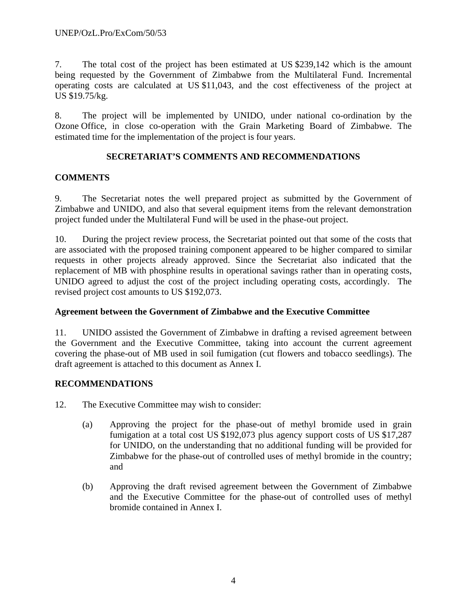7. The total cost of the project has been estimated at US \$239,142 which is the amount being requested by the Government of Zimbabwe from the Multilateral Fund. Incremental operating costs are calculated at US \$11,043, and the cost effectiveness of the project at US \$19.75/kg.

8. The project will be implemented by UNIDO, under national co-ordination by the Ozone Office, in close co-operation with the Grain Marketing Board of Zimbabwe. The estimated time for the implementation of the project is four years.

# **SECRETARIAT'S COMMENTS AND RECOMMENDATIONS**

# **COMMENTS**

9. The Secretariat notes the well prepared project as submitted by the Government of Zimbabwe and UNIDO, and also that several equipment items from the relevant demonstration project funded under the Multilateral Fund will be used in the phase-out project.

10. During the project review process, the Secretariat pointed out that some of the costs that are associated with the proposed training component appeared to be higher compared to similar requests in other projects already approved. Since the Secretariat also indicated that the replacement of MB with phosphine results in operational savings rather than in operating costs, UNIDO agreed to adjust the cost of the project including operating costs, accordingly. The revised project cost amounts to US \$192,073.

# **Agreement between the Government of Zimbabwe and the Executive Committee**

11. UNIDO assisted the Government of Zimbabwe in drafting a revised agreement between the Government and the Executive Committee, taking into account the current agreement covering the phase-out of MB used in soil fumigation (cut flowers and tobacco seedlings). The draft agreement is attached to this document as Annex I.

# **RECOMMENDATIONS**

- 12. The Executive Committee may wish to consider:
	- (a) Approving the project for the phase-out of methyl bromide used in grain fumigation at a total cost US \$192,073 plus agency support costs of US \$17,287 for UNIDO, on the understanding that no additional funding will be provided for Zimbabwe for the phase-out of controlled uses of methyl bromide in the country; and
	- (b) Approving the draft revised agreement between the Government of Zimbabwe and the Executive Committee for the phase-out of controlled uses of methyl bromide contained in Annex I.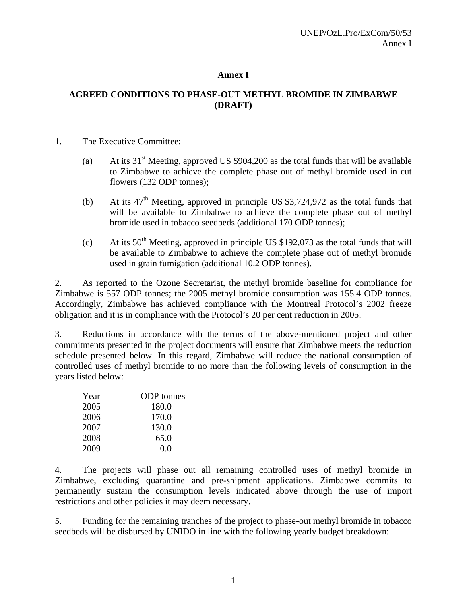# **Annex I**

# **AGREED CONDITIONS TO PHASE-OUT METHYL BROMIDE IN ZIMBABWE (DRAFT)**

#### 1. The Executive Committee:

- (a) At its  $31<sup>st</sup>$  Meeting, approved US \$904,200 as the total funds that will be available to Zimbabwe to achieve the complete phase out of methyl bromide used in cut flowers (132 ODP tonnes);
- (b) At its  $47<sup>th</sup>$  Meeting, approved in principle US \$3,724,972 as the total funds that will be available to Zimbabwe to achieve the complete phase out of methyl bromide used in tobacco seedbeds (additional 170 ODP tonnes);
- (c) At its  $50<sup>th</sup>$  Meeting, approved in principle US \$192,073 as the total funds that will be available to Zimbabwe to achieve the complete phase out of methyl bromide used in grain fumigation (additional 10.2 ODP tonnes).

2. As reported to the Ozone Secretariat, the methyl bromide baseline for compliance for Zimbabwe is 557 ODP tonnes; the 2005 methyl bromide consumption was 155.4 ODP tonnes. Accordingly, Zimbabwe has achieved compliance with the Montreal Protocol's 2002 freeze obligation and it is in compliance with the Protocol's 20 per cent reduction in 2005.

3. Reductions in accordance with the terms of the above-mentioned project and other commitments presented in the project documents will ensure that Zimbabwe meets the reduction schedule presented below. In this regard, Zimbabwe will reduce the national consumption of controlled uses of methyl bromide to no more than the following levels of consumption in the years listed below:

| Year | <b>ODP</b> tonnes |
|------|-------------------|
| 2005 | 180.0             |
| 2006 | 170.0             |
| 2007 | 130.0             |
| 2008 | 65.0              |
| 2009 | 0.0               |

4. The projects will phase out all remaining controlled uses of methyl bromide in Zimbabwe, excluding quarantine and pre-shipment applications. Zimbabwe commits to permanently sustain the consumption levels indicated above through the use of import restrictions and other policies it may deem necessary.

5. Funding for the remaining tranches of the project to phase-out methyl bromide in tobacco seedbeds will be disbursed by UNIDO in line with the following yearly budget breakdown: